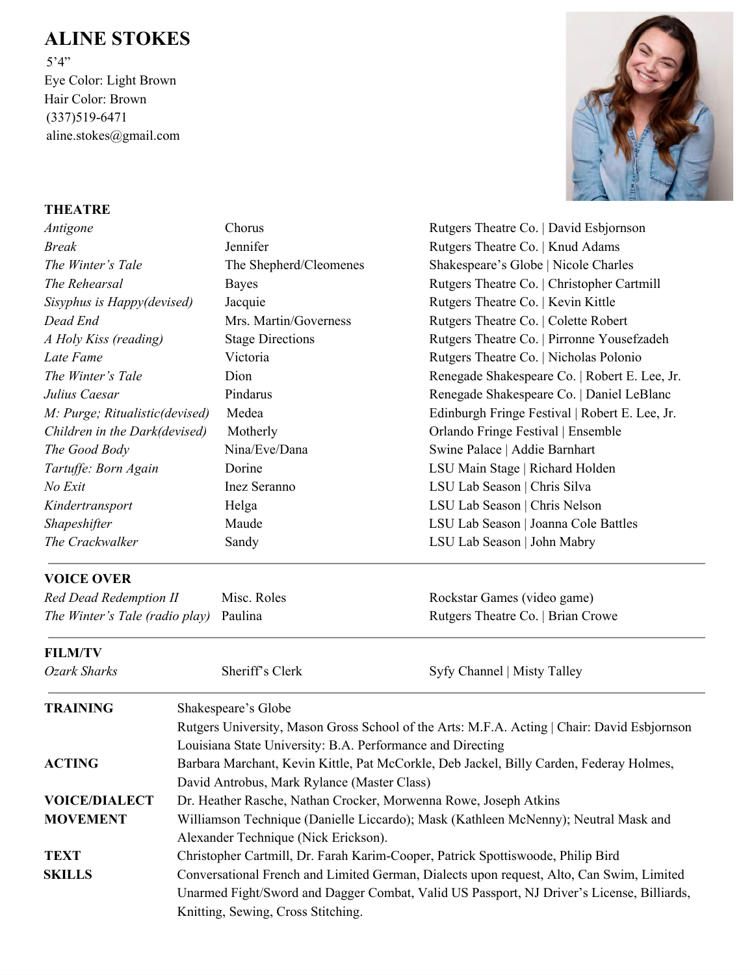## **ALINE STOKES**

 5'4" Eye Color: Light Brown Hair Color: Brown (337)519-6471 aline.stokes@gmail.com



## **THEATRE**

| Antigone                       | Chorus                  | Rutgers Theatre Co.   David Esbjornson         |  |  |
|--------------------------------|-------------------------|------------------------------------------------|--|--|
| <i>Break</i>                   | Jennifer                | Rutgers Theatre Co.   Knud Adams               |  |  |
| The Winter's Tale              | The Shepherd/Cleomenes  | Shakespeare's Globe   Nicole Charles           |  |  |
| The Rehearsal                  | <b>Bayes</b>            | Rutgers Theatre Co.   Christopher Cartmill     |  |  |
| Sisyphus is Happy(devised)     | Jacquie                 | Rutgers Theatre Co.   Kevin Kittle             |  |  |
| Dead End                       | Mrs. Martin/Governess   | Rutgers Theatre Co.   Colette Robert           |  |  |
| A Holy Kiss (reading)          | <b>Stage Directions</b> | Rutgers Theatre Co.   Pirronne Yousefzadeh     |  |  |
| Late Fame                      | Victoria                | Rutgers Theatre Co.   Nicholas Polonio         |  |  |
| The Winter's Tale              | Dion                    | Renegade Shakespeare Co.   Robert E. Lee, Jr.  |  |  |
| Julius Caesar                  | Pindarus                | Renegade Shakespeare Co.   Daniel LeBlanc      |  |  |
| M: Purge; Ritualistic(devised) | Medea                   | Edinburgh Fringe Festival   Robert E. Lee, Jr. |  |  |
| Children in the Dark(devised)  | Motherly                | Orlando Fringe Festival   Ensemble             |  |  |
| The Good Body                  | Nina/Eve/Dana           | Swine Palace   Addie Barnhart                  |  |  |
| Tartuffe: Born Again           | Dorine                  | LSU Main Stage   Richard Holden                |  |  |
| No Exit                        | Inez Seranno            | LSU Lab Season   Chris Silva                   |  |  |
| Kindertransport                | Helga                   | LSU Lab Season   Chris Nelson                  |  |  |
| <b>Shapeshifter</b>            | Maude                   | LSU Lab Season   Joanna Cole Battles           |  |  |
| The Crackwalker                | Sandy                   | LSU Lab Season   John Mabry                    |  |  |
| <b>VOICE OVER</b>              |                         |                                                |  |  |

| Red Dead Redemption II                        | Misc. Roles | Rockstar Games (video game)       |
|-----------------------------------------------|-------------|-----------------------------------|
| <i>The Winter's Tale (radio play)</i> Paulina |             | Rutgers Theatre Co.   Brian Crowe |

## **FILM/TV**

| Ozark Sharks         | Sheriff's Clerk                                                                             | Syfy Channel   Misty Talley                                                              |  |  |
|----------------------|---------------------------------------------------------------------------------------------|------------------------------------------------------------------------------------------|--|--|
| <b>TRAINING</b>      | Shakespeare's Globe                                                                         |                                                                                          |  |  |
|                      | Rutgers University, Mason Gross School of the Arts: M.F.A. Acting   Chair: David Esbjornson |                                                                                          |  |  |
|                      | Louisiana State University: B.A. Performance and Directing                                  |                                                                                          |  |  |
| <b>ACTING</b>        | Barbara Marchant, Kevin Kittle, Pat McCorkle, Deb Jackel, Billy Carden, Federay Holmes,     |                                                                                          |  |  |
|                      | David Antrobus, Mark Rylance (Master Class)                                                 |                                                                                          |  |  |
| <b>VOICE/DIALECT</b> | Dr. Heather Rasche, Nathan Crocker, Morwenna Rowe, Joseph Atkins                            |                                                                                          |  |  |
| <b>MOVEMENT</b>      | Williamson Technique (Danielle Liccardo); Mask (Kathleen McNenny); Neutral Mask and         |                                                                                          |  |  |
|                      | Alexander Technique (Nick Erickson).                                                        |                                                                                          |  |  |
| <b>TEXT</b>          | Christopher Cartmill, Dr. Farah Karim-Cooper, Patrick Spottiswoode, Philip Bird             |                                                                                          |  |  |
| <b>SKILLS</b>        |                                                                                             | Conversational French and Limited German, Dialects upon request, Alto, Can Swim, Limited |  |  |
|                      | Unarmed Fight/Sword and Dagger Combat, Valid US Passport, NJ Driver's License, Billiards,   |                                                                                          |  |  |
|                      | Knitting, Sewing, Cross Stitching.                                                          |                                                                                          |  |  |